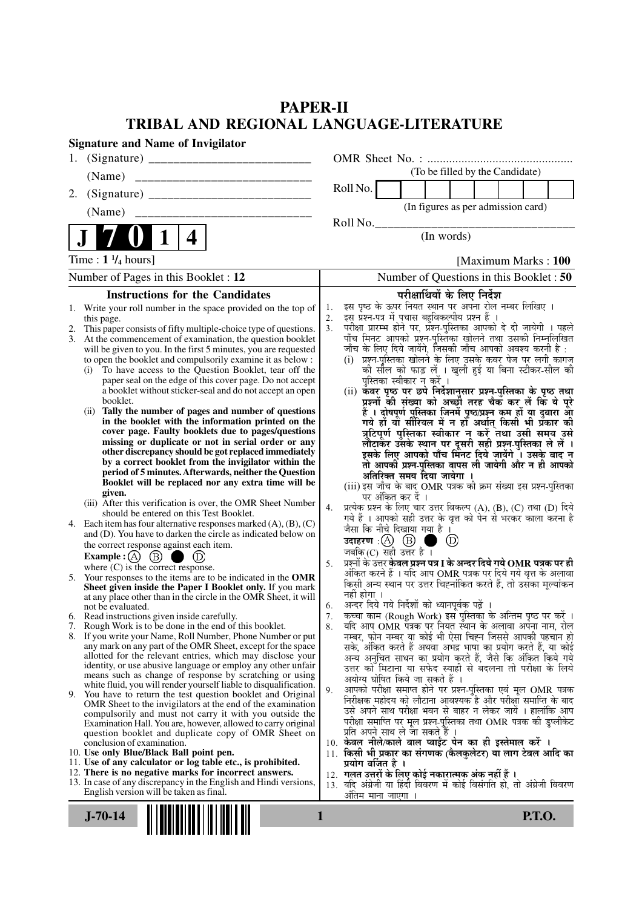### **PAPER-II TRIBAL AND REGIONAL LANGUAGE-LITERATURE**

| <b>Signature and Name of Invigilator</b>                                                                                                                                                                                                                                                                                                                                                                                                                                                                                                                                                                                                                                                                                                                                                                                                                                                                                                                                                                                                                                                                                                                                                                                                                                                                                                                                                                                                                                                                                                                                                                                                                                                                                                                                                                                                                                                                                                                                                                                                                                                                                                                                                                                                                                                                                                                                                                                                                                                   |                                                                                                                                                                                                                                                                                                                                                                                                                                                                                                                                                                                                                                                                                                                                                                                                                                                                                                                                                                                                                                                                                                                                                                                                                                                                                                                                                                                                                                                                                                                                                                                                                                                                                                                                                                                                                                                                                                                                                                                                                                                                                                                                                                                                                                                                                                                                                                                                                                                                              |
|--------------------------------------------------------------------------------------------------------------------------------------------------------------------------------------------------------------------------------------------------------------------------------------------------------------------------------------------------------------------------------------------------------------------------------------------------------------------------------------------------------------------------------------------------------------------------------------------------------------------------------------------------------------------------------------------------------------------------------------------------------------------------------------------------------------------------------------------------------------------------------------------------------------------------------------------------------------------------------------------------------------------------------------------------------------------------------------------------------------------------------------------------------------------------------------------------------------------------------------------------------------------------------------------------------------------------------------------------------------------------------------------------------------------------------------------------------------------------------------------------------------------------------------------------------------------------------------------------------------------------------------------------------------------------------------------------------------------------------------------------------------------------------------------------------------------------------------------------------------------------------------------------------------------------------------------------------------------------------------------------------------------------------------------------------------------------------------------------------------------------------------------------------------------------------------------------------------------------------------------------------------------------------------------------------------------------------------------------------------------------------------------------------------------------------------------------------------------------------------------|------------------------------------------------------------------------------------------------------------------------------------------------------------------------------------------------------------------------------------------------------------------------------------------------------------------------------------------------------------------------------------------------------------------------------------------------------------------------------------------------------------------------------------------------------------------------------------------------------------------------------------------------------------------------------------------------------------------------------------------------------------------------------------------------------------------------------------------------------------------------------------------------------------------------------------------------------------------------------------------------------------------------------------------------------------------------------------------------------------------------------------------------------------------------------------------------------------------------------------------------------------------------------------------------------------------------------------------------------------------------------------------------------------------------------------------------------------------------------------------------------------------------------------------------------------------------------------------------------------------------------------------------------------------------------------------------------------------------------------------------------------------------------------------------------------------------------------------------------------------------------------------------------------------------------------------------------------------------------------------------------------------------------------------------------------------------------------------------------------------------------------------------------------------------------------------------------------------------------------------------------------------------------------------------------------------------------------------------------------------------------------------------------------------------------------------------------------------------------|
|                                                                                                                                                                                                                                                                                                                                                                                                                                                                                                                                                                                                                                                                                                                                                                                                                                                                                                                                                                                                                                                                                                                                                                                                                                                                                                                                                                                                                                                                                                                                                                                                                                                                                                                                                                                                                                                                                                                                                                                                                                                                                                                                                                                                                                                                                                                                                                                                                                                                                            |                                                                                                                                                                                                                                                                                                                                                                                                                                                                                                                                                                                                                                                                                                                                                                                                                                                                                                                                                                                                                                                                                                                                                                                                                                                                                                                                                                                                                                                                                                                                                                                                                                                                                                                                                                                                                                                                                                                                                                                                                                                                                                                                                                                                                                                                                                                                                                                                                                                                              |
| (Name)                                                                                                                                                                                                                                                                                                                                                                                                                                                                                                                                                                                                                                                                                                                                                                                                                                                                                                                                                                                                                                                                                                                                                                                                                                                                                                                                                                                                                                                                                                                                                                                                                                                                                                                                                                                                                                                                                                                                                                                                                                                                                                                                                                                                                                                                                                                                                                                                                                                                                     | (To be filled by the Candidate)                                                                                                                                                                                                                                                                                                                                                                                                                                                                                                                                                                                                                                                                                                                                                                                                                                                                                                                                                                                                                                                                                                                                                                                                                                                                                                                                                                                                                                                                                                                                                                                                                                                                                                                                                                                                                                                                                                                                                                                                                                                                                                                                                                                                                                                                                                                                                                                                                                              |
| 2.                                                                                                                                                                                                                                                                                                                                                                                                                                                                                                                                                                                                                                                                                                                                                                                                                                                                                                                                                                                                                                                                                                                                                                                                                                                                                                                                                                                                                                                                                                                                                                                                                                                                                                                                                                                                                                                                                                                                                                                                                                                                                                                                                                                                                                                                                                                                                                                                                                                                                         | Roll No.                                                                                                                                                                                                                                                                                                                                                                                                                                                                                                                                                                                                                                                                                                                                                                                                                                                                                                                                                                                                                                                                                                                                                                                                                                                                                                                                                                                                                                                                                                                                                                                                                                                                                                                                                                                                                                                                                                                                                                                                                                                                                                                                                                                                                                                                                                                                                                                                                                                                     |
| (Name)                                                                                                                                                                                                                                                                                                                                                                                                                                                                                                                                                                                                                                                                                                                                                                                                                                                                                                                                                                                                                                                                                                                                                                                                                                                                                                                                                                                                                                                                                                                                                                                                                                                                                                                                                                                                                                                                                                                                                                                                                                                                                                                                                                                                                                                                                                                                                                                                                                                                                     | (In figures as per admission card)                                                                                                                                                                                                                                                                                                                                                                                                                                                                                                                                                                                                                                                                                                                                                                                                                                                                                                                                                                                                                                                                                                                                                                                                                                                                                                                                                                                                                                                                                                                                                                                                                                                                                                                                                                                                                                                                                                                                                                                                                                                                                                                                                                                                                                                                                                                                                                                                                                           |
|                                                                                                                                                                                                                                                                                                                                                                                                                                                                                                                                                                                                                                                                                                                                                                                                                                                                                                                                                                                                                                                                                                                                                                                                                                                                                                                                                                                                                                                                                                                                                                                                                                                                                                                                                                                                                                                                                                                                                                                                                                                                                                                                                                                                                                                                                                                                                                                                                                                                                            | Roll No.<br>(In words)                                                                                                                                                                                                                                                                                                                                                                                                                                                                                                                                                                                                                                                                                                                                                                                                                                                                                                                                                                                                                                                                                                                                                                                                                                                                                                                                                                                                                                                                                                                                                                                                                                                                                                                                                                                                                                                                                                                                                                                                                                                                                                                                                                                                                                                                                                                                                                                                                                                       |
| 4                                                                                                                                                                                                                                                                                                                                                                                                                                                                                                                                                                                                                                                                                                                                                                                                                                                                                                                                                                                                                                                                                                                                                                                                                                                                                                                                                                                                                                                                                                                                                                                                                                                                                                                                                                                                                                                                                                                                                                                                                                                                                                                                                                                                                                                                                                                                                                                                                                                                                          |                                                                                                                                                                                                                                                                                                                                                                                                                                                                                                                                                                                                                                                                                                                                                                                                                                                                                                                                                                                                                                                                                                                                                                                                                                                                                                                                                                                                                                                                                                                                                                                                                                                                                                                                                                                                                                                                                                                                                                                                                                                                                                                                                                                                                                                                                                                                                                                                                                                                              |
| Time: $1\frac{1}{4}$ hours]                                                                                                                                                                                                                                                                                                                                                                                                                                                                                                                                                                                                                                                                                                                                                                                                                                                                                                                                                                                                                                                                                                                                                                                                                                                                                                                                                                                                                                                                                                                                                                                                                                                                                                                                                                                                                                                                                                                                                                                                                                                                                                                                                                                                                                                                                                                                                                                                                                                                | [Maximum Marks: 100]                                                                                                                                                                                                                                                                                                                                                                                                                                                                                                                                                                                                                                                                                                                                                                                                                                                                                                                                                                                                                                                                                                                                                                                                                                                                                                                                                                                                                                                                                                                                                                                                                                                                                                                                                                                                                                                                                                                                                                                                                                                                                                                                                                                                                                                                                                                                                                                                                                                         |
| Number of Pages in this Booklet : 12                                                                                                                                                                                                                                                                                                                                                                                                                                                                                                                                                                                                                                                                                                                                                                                                                                                                                                                                                                                                                                                                                                                                                                                                                                                                                                                                                                                                                                                                                                                                                                                                                                                                                                                                                                                                                                                                                                                                                                                                                                                                                                                                                                                                                                                                                                                                                                                                                                                       | Number of Questions in this Booklet : 50                                                                                                                                                                                                                                                                                                                                                                                                                                                                                                                                                                                                                                                                                                                                                                                                                                                                                                                                                                                                                                                                                                                                                                                                                                                                                                                                                                                                                                                                                                                                                                                                                                                                                                                                                                                                                                                                                                                                                                                                                                                                                                                                                                                                                                                                                                                                                                                                                                     |
| <b>Instructions for the Candidates</b>                                                                                                                                                                                                                                                                                                                                                                                                                                                                                                                                                                                                                                                                                                                                                                                                                                                                                                                                                                                                                                                                                                                                                                                                                                                                                                                                                                                                                                                                                                                                                                                                                                                                                                                                                                                                                                                                                                                                                                                                                                                                                                                                                                                                                                                                                                                                                                                                                                                     | परीक्षार्थियों के लिए निर्देश                                                                                                                                                                                                                                                                                                                                                                                                                                                                                                                                                                                                                                                                                                                                                                                                                                                                                                                                                                                                                                                                                                                                                                                                                                                                                                                                                                                                                                                                                                                                                                                                                                                                                                                                                                                                                                                                                                                                                                                                                                                                                                                                                                                                                                                                                                                                                                                                                                                |
| 1. Write your roll number in the space provided on the top of<br>this page.<br>2. This paper consists of fifty multiple-choice type of questions.<br>3. At the commencement of examination, the question booklet<br>will be given to you. In the first 5 minutes, you are requested<br>to open the booklet and compulsorily examine it as below :<br>(i) To have access to the Question Booklet, tear off the<br>paper seal on the edge of this cover page. Do not accept<br>a booklet without sticker-seal and do not accept an open<br>booklet.<br>(ii) Tally the number of pages and number of questions<br>in the booklet with the information printed on the<br>cover page. Faulty booklets due to pages/questions<br>missing or duplicate or not in serial order or any<br>other discrepancy should be got replaced immediately<br>by a correct booklet from the invigilator within the<br>period of 5 minutes. Afterwards, neither the Question<br>Booklet will be replaced nor any extra time will be<br>given.<br>(iii) After this verification is over, the OMR Sheet Number<br>should be entered on this Test Booklet.<br>4. Each item has four alternative responses marked $(A)$ , $(B)$ , $(C)$<br>and (D). You have to darken the circle as indicated below on<br>the correct response against each item.<br><b>Example:</b> (A) $(B)$<br>$\circled{D}$<br>where $(C)$ is the correct response.<br>5. Your responses to the items are to be indicated in the OMR<br>Sheet given inside the Paper I Booklet only. If you mark<br>at any place other than in the circle in the OMR Sheet, it will<br>not be evaluated.<br>6. Read instructions given inside carefully.<br>7. Rough Work is to be done in the end of this booklet.<br>8. If you write your Name, Roll Number, Phone Number or put<br>any mark on any part of the OMR Sheet, except for the space<br>allotted for the relevant entries, which may disclose your<br>identity, or use abusive language or employ any other unfair<br>means such as change of response by scratching or using<br>white fluid, you will render yourself liable to disqualification.<br>9. You have to return the test question booklet and Original<br>OMR Sheet to the invigilators at the end of the examination<br>compulsorily and must not carry it with you outside the<br>Examination Hall. You are, however, allowed to carry original<br>question booklet and duplicate copy of OMR Sheet on<br>conclusion of examination. | इस पृष्ठ के ऊपर नियत स्थान पर अपना रोल नम्बर लिखिए ।<br>1.<br>इस प्रश्न-पत्र में पचास बहुविकल्पीय प्रश्न हैं ।<br>2.<br>परीक्षा प्रारम्भ होने पर, प्रॅश्न-पुस्तिका आपको दे दी जायेगी । पहले<br>पाँच मिनट आपको प्रश्न-पुस्तिका खोलने तथा उसकी निम्नलिखित<br>3.<br>जाँच के लिए दिये जायेंगे, जिसकी जाँच आपको अवश्य करनी है :<br>(i) प्रश्न-पुस्तिका खोलने के लिए उसके कवर पेज पर लगी कागज<br>की सौल को फाड़ लें । खुली हुई या बिना स्टीकर-सील की<br>पुस्तिका स्वीकार न करें ।<br>(ii) कवर पृष्ठ पर छपे निर्देशानुसार प्रश्न-पुस्तिका के पृष्ठ तथा<br>प्रश्नों की संख्या को अच्छों तरह चैक कर लें कि ये पूरे<br>हैं । दोषपूर्ण पुस्तिका जिनमें पृष्ठ/प्रश्न कम हों या दुबारा आ<br>गये हो या सीरियल में न हो अर्थात् किसी भी प्रकार की<br>त्रुटिपूर्ण पुस्तिका स्वीकार न करें तथा उसी समय उसे<br>लौटाकर उसके स्थान पर दूसरी सही प्रश्न-पुस्तिका ले लें ।<br>इसके लिए आपको पाँच मिनट दिये जायेंगे । उसके बाद न<br>तो आपकी प्रश्न-पुस्तिका वापस ली जायेगी और न ही आपको<br>अतिरिक्त समय दिया जायेगा<br>(iii) इस जाँच के बाद OMR पत्रक की क्रम संख्या इस प्रश्न-पुस्तिका<br>पर अंकित कर दें ।<br>प्रत्येक प्रश्न के लिए चार उत्तर विकल्प (A), (B), (C) तथा (D) दिये<br>4.<br>गये हैं । आपको सही उत्तर के वृत्त को पेन से भरकर काला करना है<br>जैसा कि नीचे दिखाया गया है।<br>उदाहरण $\,$ :( $\!\mathrm{A}\!$ ) $\,$ $\mathrm{(B)}\,$<br>(D)<br>जबकि $(C)$ सही उत्तर है ।<br>प्रश्नों के उत्तर <b>केवल प्रश्न पत्र I के अन्दर दिये गये OMR पत्रक पर ही</b><br>5.<br>अंकित करने हैं । यदि आप OMR पत्रक पर दिये गये वृत्त के अलावा<br>किसी अन्य स्थान पर उत्तर चिह्नांकित करते हैं, तो उसँका मूल्यांकन<br>नहीं होगा ।<br>अन्दर दिये गये निर्देशों को ध्यानपूर्वक पढ़ें<br>6.<br>कच्चा काम (Rough Work) इस पुस्तिका के अन्तिम पृष्ठ पर करें ।<br>7.<br>यदि आप OMR पत्रक पर नियत स्थान के अलावा अपना नाम, रोल<br>8.<br>नम्बर, फोन नम्बर या कोई भी ऐसा चिह्न जिससे आपकी पहचान हो<br>सके, अंकित करते हैं अथवा अभद्र भाषा का प्रयोग करते हैं, या कोई<br>अन्य अनुचित साधन का प्रयोग करते हैं, जैसे कि अंकित किये गये<br>उत्तर को मिटाना या सफेद स्याही से बदलना तो परीक्षा के लिये<br>अयोग्य घोषित किये जा सकते हैं ।<br>आपको परीक्षा समाप्त होने पर प्रश्न-पुस्तिका एवं मूल OMR पत्रक<br>9.<br>निरीक्षक महोदय को लौटाना आवश्यक है और परीक्षा समाप्ति के बाद<br>उसे अपने साथ परीक्षा भवन से बाहर न लेकर जायें । हालांकि आप<br>परीक्षा समाप्ति पर मूल प्रश्न-पुस्तिका तथा OMR पत्रक की डुप्लीकेट<br>प्रति अपने साथ ले जा सकते है ।<br>10. केवल नीले/काले बाल प्वाईंट पेन का ही इस्तेमाल करें । |
| 10. Use only Blue/Black Ball point pen.<br>11. Use of any calculator or log table etc., is prohibited.                                                                                                                                                                                                                                                                                                                                                                                                                                                                                                                                                                                                                                                                                                                                                                                                                                                                                                                                                                                                                                                                                                                                                                                                                                                                                                                                                                                                                                                                                                                                                                                                                                                                                                                                                                                                                                                                                                                                                                                                                                                                                                                                                                                                                                                                                                                                                                                     | 11. किसी भी प्रकार का संगणक (कैलकुलेटर) या लाग टेबल आदि का<br>प्रयोग वजित है ।                                                                                                                                                                                                                                                                                                                                                                                                                                                                                                                                                                                                                                                                                                                                                                                                                                                                                                                                                                                                                                                                                                                                                                                                                                                                                                                                                                                                                                                                                                                                                                                                                                                                                                                                                                                                                                                                                                                                                                                                                                                                                                                                                                                                                                                                                                                                                                                               |
| 12. There is no negative marks for incorrect answers.<br>13. In case of any discrepancy in the English and Hindi versions,<br>English version will be taken as final.                                                                                                                                                                                                                                                                                                                                                                                                                                                                                                                                                                                                                                                                                                                                                                                                                                                                                                                                                                                                                                                                                                                                                                                                                                                                                                                                                                                                                                                                                                                                                                                                                                                                                                                                                                                                                                                                                                                                                                                                                                                                                                                                                                                                                                                                                                                      | 12.  गलत उत्तरों के लिए कोई नकारात्मक अंक नहीं हैं ।<br>13. यदि अंग्रेजी या हिंदी विवरण में कोई विसंगति हो, तो अंग्रेजी विवरण<br>अंतिम माना जाएगा                                                                                                                                                                                                                                                                                                                                                                                                                                                                                                                                                                                                                                                                                                                                                                                                                                                                                                                                                                                                                                                                                                                                                                                                                                                                                                                                                                                                                                                                                                                                                                                                                                                                                                                                                                                                                                                                                                                                                                                                                                                                                                                                                                                                                                                                                                                            |
| $J - 70 - 14$                                                                                                                                                                                                                                                                                                                                                                                                                                                                                                                                                                                                                                                                                                                                                                                                                                                                                                                                                                                                                                                                                                                                                                                                                                                                                                                                                                                                                                                                                                                                                                                                                                                                                                                                                                                                                                                                                                                                                                                                                                                                                                                                                                                                                                                                                                                                                                                                                                                                              | <b>P.T.O.</b><br>1                                                                                                                                                                                                                                                                                                                                                                                                                                                                                                                                                                                                                                                                                                                                                                                                                                                                                                                                                                                                                                                                                                                                                                                                                                                                                                                                                                                                                                                                                                                                                                                                                                                                                                                                                                                                                                                                                                                                                                                                                                                                                                                                                                                                                                                                                                                                                                                                                                                           |
|                                                                                                                                                                                                                                                                                                                                                                                                                                                                                                                                                                                                                                                                                                                                                                                                                                                                                                                                                                                                                                                                                                                                                                                                                                                                                                                                                                                                                                                                                                                                                                                                                                                                                                                                                                                                                                                                                                                                                                                                                                                                                                                                                                                                                                                                                                                                                                                                                                                                                            |                                                                                                                                                                                                                                                                                                                                                                                                                                                                                                                                                                                                                                                                                                                                                                                                                                                                                                                                                                                                                                                                                                                                                                                                                                                                                                                                                                                                                                                                                                                                                                                                                                                                                                                                                                                                                                                                                                                                                                                                                                                                                                                                                                                                                                                                                                                                                                                                                                                                              |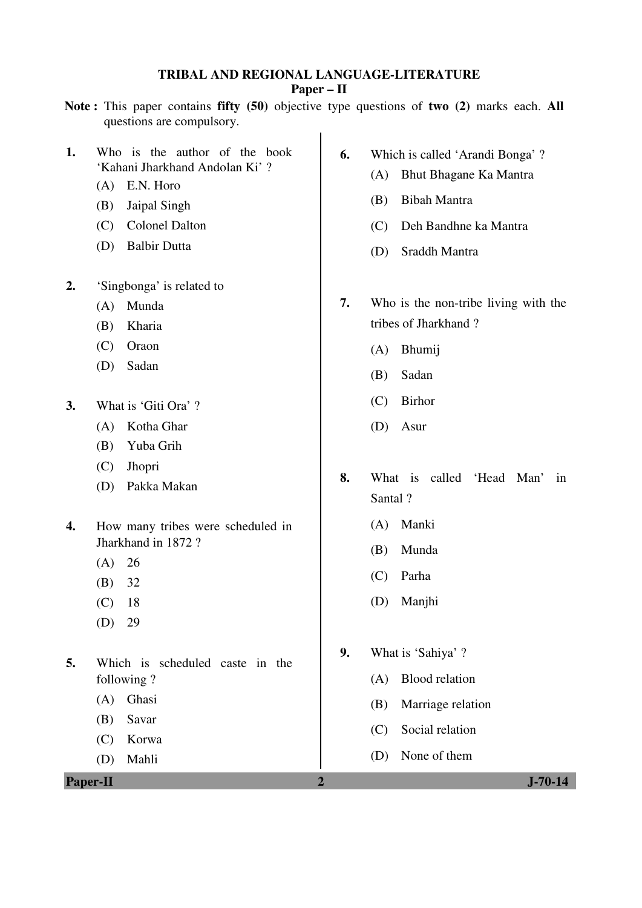## **TRIBAL AND REGIONAL LANGUAGE-LITERATURE**

### **Paper – II**

- **Note :** This paper contains **fifty (50)** objective type questions of **two (2)** marks each. **All** questions are compulsory.
- **1.** Who is the author of the book 'Kahani Jharkhand Andolan Ki' ?
	- (A) E.N. Horo
	- (B) Jaipal Singh
	- (C) Colonel Dalton
	- (D) Balbir Dutta
- **2.** 'Singbonga' is related to
	- (A) Munda
	- (B) Kharia
	- (C) Oraon
	- (D) Sadan
- **3.** What is 'Giti Ora' ?
	- (A) Kotha Ghar
	- (B) Yuba Grih
	- (C) Jhopri
	- (D) Pakka Makan
- **4.** How many tribes were scheduled in Jharkhand in 1872 ?
	- $(A) 26$
	- (B) 32
	- (C) 18
	- (D) 29
- **5.** Which is scheduled caste in the following ?
	- (A) Ghasi
	- (B) Savar
	- (C) Korwa
	- (D) Mahli

**Paper-II 2 J-70-14** 

- **6.** Which is called 'Arandi Bonga' ?
	- (A) Bhut Bhagane Ka Mantra
	- (B) Bibah Mantra
	- (C) Deh Bandhne ka Mantra
	- (D) Sraddh Mantra
- **7.** Who is the non-tribe living with the tribes of Jharkhand ?
	- (A) Bhumij
	- (B) Sadan
	- (C) Birhor
	- (D) Asur
- **8.** What is called 'Head Man' in Santal ?
	- (A) Manki
	- (B) Munda
	- (C) Parha
	- (D) Manjhi
- **9.** What is 'Sahiya' ?
	- (A) Blood relation
	- (B) Marriage relation
	- (C) Social relation
	- (D) None of them
-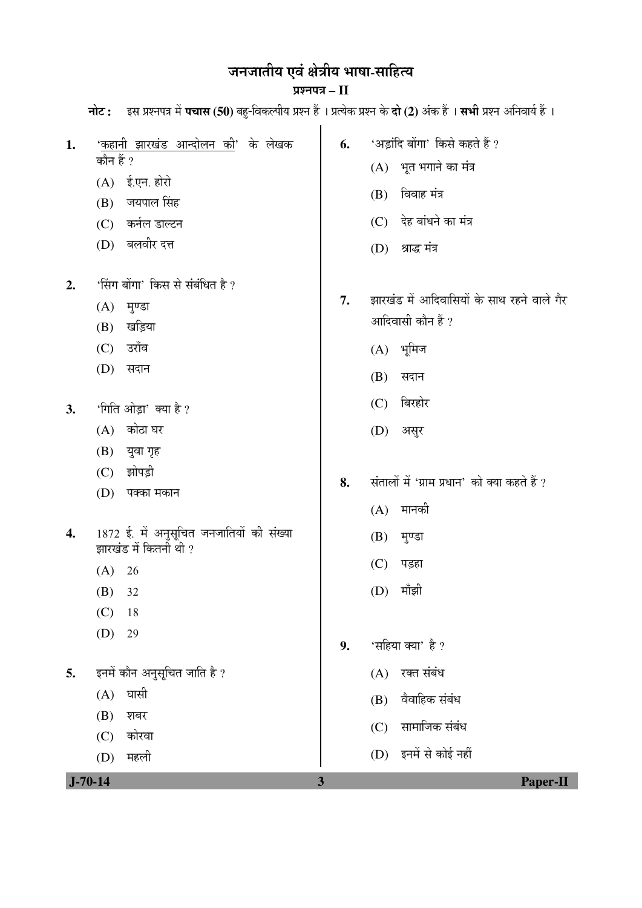# जनजातीय एवं क्षेत्रीय भाषा-साहित्य

### ¯ÖÏ¿®Ö¯Ö¡Ö **– II**

| $J - 70 - 14$ |                                            | $\mathbf{3}$ | <b>Paper-II</b>                               |
|---------------|--------------------------------------------|--------------|-----------------------------------------------|
|               | महली<br>(D)                                |              | (D) इनमें से कोई नहीं                         |
|               | कोरवा<br>(C)                               |              | सामाजिक संबंध<br>(C)                          |
|               | (B)<br>शबर                                 |              | (B)                                           |
|               | घासी<br>(A)                                |              | वैवाहिक संबंध                                 |
| 5.            | इनमें कौन अनुसूचित जाति है ?               |              | रक्त संबंध<br>(A)                             |
|               | (D)<br>29                                  | 9.           | 'सहिया क्या' है ?                             |
|               | (C)<br>18                                  |              |                                               |
|               | (B)<br>32                                  |              | मॉझी<br>(D)                                   |
|               | (A)<br>26                                  |              | (C)<br>पड़हा                                  |
|               | झारखंड में कितनी थी ?                      |              | मुण्डा<br>(B)                                 |
| 4.            | 1872 ई. में अनुसूचित जनजातियों की संख्या   |              |                                               |
|               | (D)<br>पक्का मकान                          |              | मानकी<br>(A)                                  |
|               | झोपड़ी<br>(C)                              | 8.           | संतालों में 'ग्राम प्रधान' को क्या कहते हैं ? |
|               | (B) युवा गृह                               |              |                                               |
|               | कोठा घर<br>(A)                             |              | असुर<br>(D)                                   |
| 3.            | 'गिति ओड़ा' क्या है ?                      |              | बिरहोर<br>(C)                                 |
|               |                                            |              | (B)<br>सदान                                   |
|               | (C)<br>(D)<br>सदान                         |              | $(A)$ भूमिज                                   |
|               | खड़िया<br>(B)<br>उराँव                     |              |                                               |
|               | (A)<br>मुण्डा                              |              | आदिवासी कौन हैं ?                             |
| 2.            | 'सिंग बोंगा' किस से संबंधित है ?           | 7.           | झारखंड में आदिवासियों के साथ रहने वाले गैर    |
|               | (D) बलवीर दत्त                             |              | श्राद्ध मंत्र<br>(D)                          |
|               | (C) कर्नल डाल्टन                           |              | देह बांधने का मंत्र<br>(C)                    |
|               | जयपाल सिंह<br>(B)                          |              |                                               |
|               | $(A)$ ई.एन. होरो                           |              | विवाह मंत्र<br>(B)                            |
|               | कौन हैं ?                                  |              | (A) भूत भगाने का मंत्र                        |
| 1.            | ' <u>कहानी झारखंड आन्दोलन की</u> ' के लेखक | 6.           | 'अड़ांदि बोंगा' किसे कहते हैं ?               |
|               |                                            |              |                                               |

**नोट :** दस प्रश्नपत्र में **पचास (50)** बहु-विकल्पीय प्रश्न हैं । प्रत्येक प्रश्न के **दो (2)** अंक हैं । **सभी** प्रश्न अनिवार्य हैं ।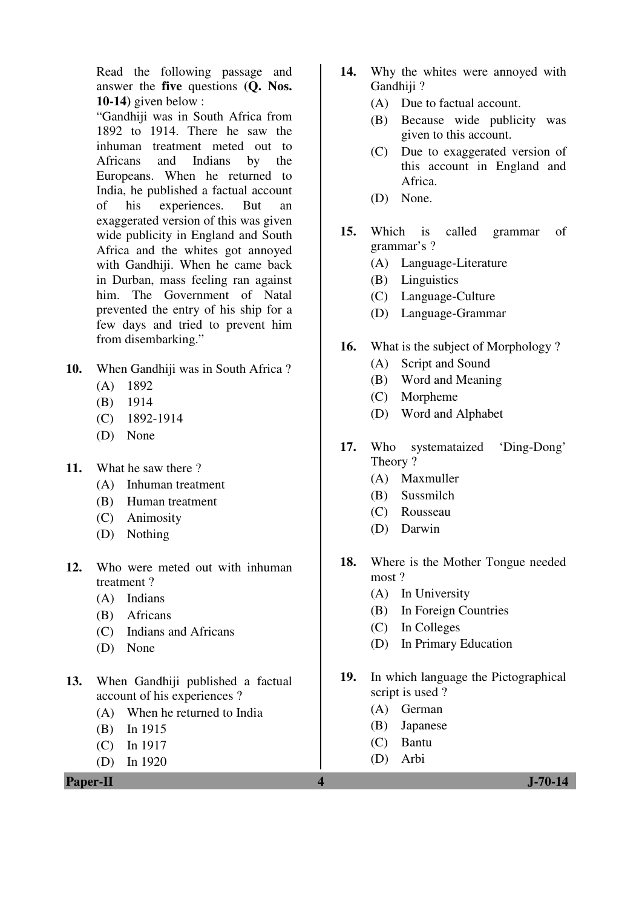Read the following passage and answer the **five** questions **(Q. Nos. 10-14)** given below :

 "Gandhiji was in South Africa from 1892 to 1914. There he saw the inhuman treatment meted out to Africans and Indians by the Europeans. When he returned to India, he published a factual account of his experiences. But an exaggerated version of this was given wide publicity in England and South Africa and the whites got annoyed with Gandhiji. When he came back in Durban, mass feeling ran against him. The Government of Natal prevented the entry of his ship for a few days and tried to prevent him from disembarking."

- **10.** When Gandhiji was in South Africa ?
	- (A) 1892
	- (B) 1914
	- (C) 1892-1914
	- (D) None
- **11.** What he saw there ?
	- (A) Inhuman treatment
	- (B) Human treatment
	- (C) Animosity
	- (D) Nothing
- **12.** Who were meted out with inhuman treatment ?
	- (A) Indians
	- (B) Africans
	- (C) Indians and Africans
	- (D) None
- **13.** When Gandhiji published a factual account of his experiences ?
	- (A) When he returned to India
	- (B) In 1915
	- (C) In 1917
	- (D) In 1920
- **14.** Why the whites were annoyed with Gandhiji?
	- (A) Due to factual account.
	- (B) Because wide publicity was given to this account.
	- (C) Due to exaggerated version of this account in England and Africa.
	- (D) None.
- **15.** Which is called grammar of grammar's ?
	- (A) Language-Literature
	- (B) Linguistics
	- (C) Language-Culture
	- (D) Language-Grammar
- **16.** What is the subject of Morphology ?
	- (A) Script and Sound
	- (B) Word and Meaning
	- (C) Morpheme
	- (D) Word and Alphabet
- **17.** Who systemataized 'Ding-Dong' Theory ?
	- (A) Maxmuller
	- (B) Sussmilch
	- (C) Rousseau
	- (D) Darwin
- **18.** Where is the Mother Tongue needed most ?
	- (A) In University
	- (B) In Foreign Countries
	- (C) In Colleges
	- (D) In Primary Education
- **19.** In which language the Pictographical script is used ?
	- (A) German
	- (B) Japanese
	- (C) Bantu
	- (D) Arbi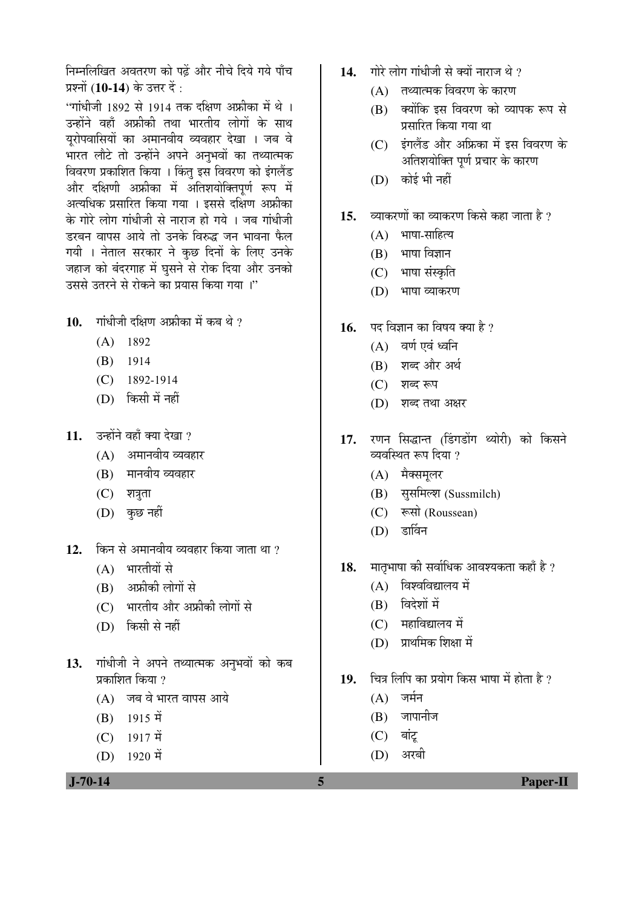निम्नलिखित अवतरण को पढें और नीचे दिये गये पाँच प्रश्नों (**10-14**) के उत्तर दें :

"गांधीजी 1892 से 1914 तक दक्षिण अफ्रीका में थे । उन्होंने वहाँ अफ्रीकी तथा भारतीय लोगों के साथ यरोपवासियों का अमानवीय व्यवहार देखा । जब वे भारत लौटे तो उन्होंने अपने अनुभवों का तथ्यात्मक विवरण प्रकाशित किया । किंतु इस विवरण को इंगलैंड और दक्षिणी अफ्रीका में अतिशयोक्तिपर्ण रूप में अत्यधिक प्रसारित किया गया । इससे दक्षिण अफ्रीका के गोरे लोग गांधीजी से नाराज हो गये । जब गांधीजी डरबन वापस आये तो उनके विरुद्ध जन भावना फैल गयी । नेताल सरकार ने कुछ दिनों के लिए उनके जहाज को बंदरगाह में घुसने से रोक दिया और उनको उससे उतरने से रोकने का प्रयास किया गया।"

10. गांधीजी दक्षिण अफ्रीका में कब थे ?

- (A) 1892
- (B) 1914
- (C) 1892-1914
- (D) किसी में नहीं
- 11. उन्होंने वहाँ क्या देखा ?
	- $(A)$  अमानवीय व्यवहार
	- (B) मानवीय व्यवहार
	- $(C)$  शत्रुता
	- $(D)$  कुछ नहीं
- 12. किन से अमानवीय व्यवहार किया जाता था ?
	- $(A)$  भारतीयों से
	- (B) अफ्रीकी लोगों से
	- (C) भारतीय और अफ्रीकी लोगों से
	- (D) किसी से नहीं
- 13. गांधीजी ने अपने तथ्यात्मक अनुभवों को कब प्रकाशित किया  $\eta$ 
	- (A) जब वे भारत वापस आये
	- $(B)$  1915  $\vec{H}$
	- $(C)$  1917 में
	- $(D)$  1920 में

- 14. Tilt लोग गांधीजी से क्यों नाराज थे ?
	- $(A)$  तथ्यात्मक विवरण के कारण
	- (B) क्योंकि इस विवरण को व्यापक रूप से प्रसारित किया गया था
	- (C) इंगलैंड और अफ्रिका में इस विवरण के अतिशयोक्ति पूर्ण प्रचार के कारण
	- (D) कोई भी नहीं
- 15. व्याकरणों का व्याकरण किसे कहा जाता है ?
	- $(A)$  भाषा-साहित्य
	- $(B)$  भाषा विज्ञान
	- (C) भाषा संस्कृति
	- (D) भाषा व्याकरण
- 16. पद विज्ञान का विषय क्या है ?
	- $(A)$  वर्ण एवं ध्वनि
	- (B) शब्द और अर्थ
	- $(C)$  शब्द रूप
	- (D) शब्द तथा अक्षर
- 17. रणन सिद्धान्त (डिंगडोंग थ्योरी) को किसने व्यवस्थित रूप दिया ?
	- $(A)$  मैक्समलर
	- (B) सुसमिल्श (Sussmilch)
	- (C) रूसो (Roussean)
	- $(D)$  डार्विन
- 18. THIGHIN की सर्वाधिक आवश्यकता कहाँ है ?
	- $(A)$  विश्वविद्यालय में
	- (B) विदेशों में
	- $(C)$  महाविद्यालय में
	- (D) प्राथमिक शिक्षा में
- 19. चित्र लिपि का प्रयोग किस भाषा में होता है ?
	- $(A)$  जर्मन
	- $(B)$  जापानीज
	- $(C)$  बांट्
	- $(D)$  अरबी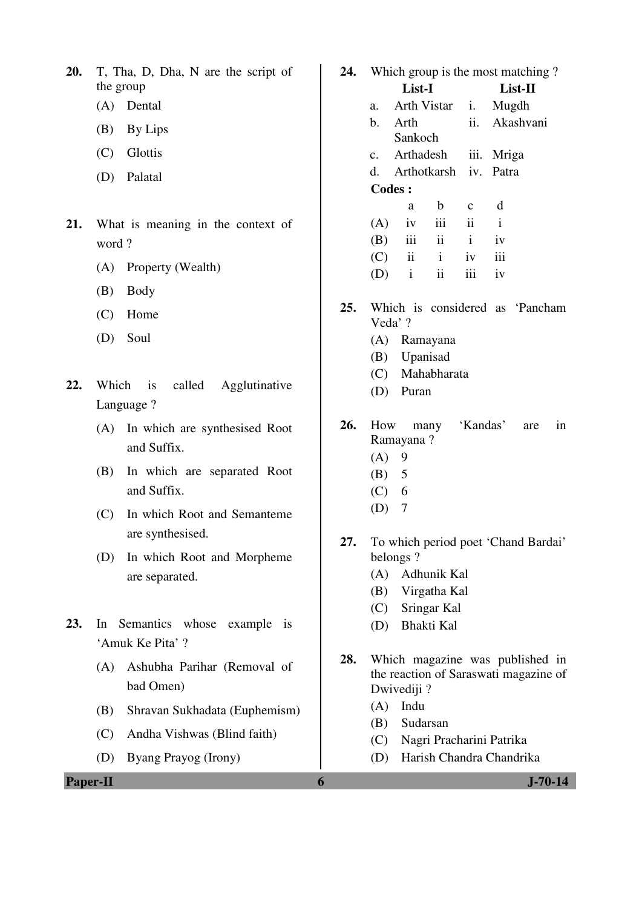- **20.** T, Tha, D, Dha, N are the script of the group
	- (A) Dental
	- (B) By Lips
	- (C) Glottis
	- (D) Palatal
- **21.** What is meaning in the context of word ?
	- (A) Property (Wealth)
	- (B) Body
	- (C) Home
	- (D) Soul
- **22.** Which is called Agglutinative Language ?
	- (A) In which are synthesised Root and Suffix.
	- (B) In which are separated Root and Suffix.
	- (C) In which Root and Semanteme are synthesised.
	- (D) In which Root and Morpheme are separated.
- **23.** In Semantics whose example is 'Amuk Ke Pita' ?
	- (A) Ashubha Parihar (Removal of bad Omen)
	- (B) Shravan Sukhadata (Euphemism)
	- (C) Andha Vishwas (Blind faith)
	- (D) Byang Prayog (Irony)

**24.** Which group is the most matching ? **List-I List-II**  a. Arth Vistar i. Mugdh b. Arth Sankoch ii. Akashvani c. Arthadesh iii. Mriga d. Arthotkarsh iv. Patra **Codes :**  a b c d

|  | $(A)$ iv iii ii i |  |
|--|-------------------|--|
|  | $(B)$ iii ii i iv |  |
|  | $(C)$ ii i iv iii |  |
|  | $(D)$ i ii iii iv |  |

- **25.** Which is considered as 'Pancham Veda' ?
	- (A) Ramayana
	- (B) Upanisad
	- (C) Mahabharata
	- (D) Puran
- **26.** How many 'Kandas' are in Ramayana ?
	- $(A)$  9
	- (B) 5
	- $(C) 6$
	- $(D)$  7
- **27.** To which period poet 'Chand Bardai' belongs ?
	- (A) Adhunik Kal
	- (B) Virgatha Kal
	- (C) Sringar Kal
	- (D) Bhakti Kal
- **28.** Which magazine was published in the reaction of Saraswati magazine of Dwivediji ?
	- (A) Indu
	- (B) Sudarsan
	- (C) Nagri Pracharini Patrika
	- (D) Harish Chandra Chandrika

**Paper-II 6 J-70-14**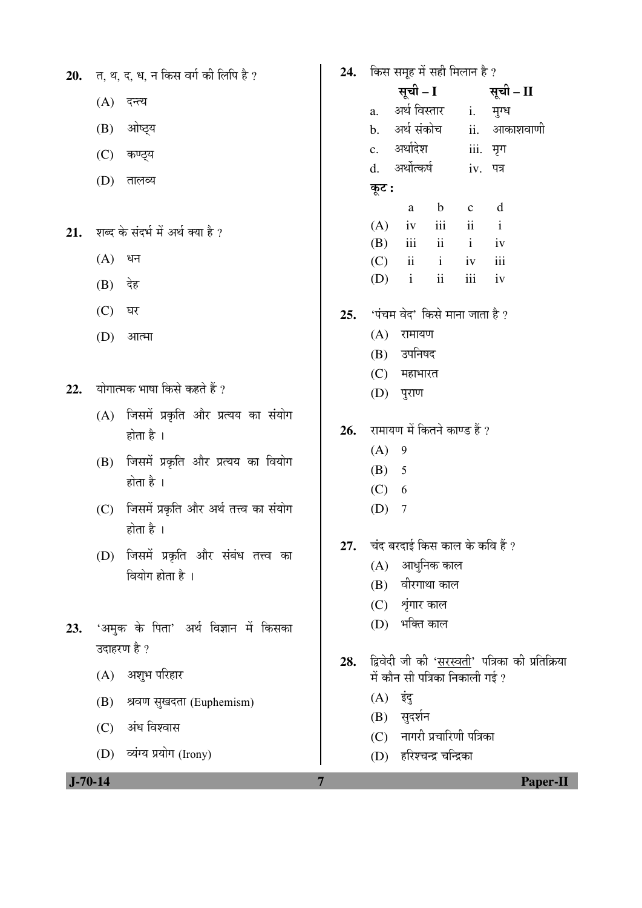| 20. त, थ, द, ध, न किस वर्ग की लिपि है ? |  |  |  |  |  |  |  |  |  |  |  |
|-----------------------------------------|--|--|--|--|--|--|--|--|--|--|--|
|-----------------------------------------|--|--|--|--|--|--|--|--|--|--|--|

- $(A)$  दन्त्य
- (B) ओष्ठ्य
- $(C)$  कण्ठ्य
- (D) तालव्य
- 21. शब्द के संदर्भ में अर्थ क्या है ?
	- $(A)$  धन
	- $(B)$  देह
	- $(C)$  घर
	- $(D)$  आत्मा
- 22. योगात्मक भाषा किसे कहते हैं ?
	- $(A)$  जिसमें प्रकृति और प्रत्यय का संयोग होता है $\perp$
	- (B) जिसमें प्रकृति और प्रत्यय का वियोग होता है $\perp$
	- (C) जिसमें प्रकृति और अर्थ तत्त्व का संयोग होता है $\perp$
	- (D) जिसमें प्रकृति और संबंध तत्त्व का वियोग होता है $\perp$
- 23. 'अमुक के पिता' अर्थ विज्ञान में किसका उदाहरण है ?
	- (A) अशुभ परिहार
	- (B) श्रवण सुखदता (Euphemism)
	- $(C)$  अंध विश्वास
	- (D) व्यंग्य प्रयोग (Irony)

## 24. किस समूह में सही मिलान है ? सूची – I सूची – II a. अर्थ*विस्तार* i. मृग्ध b. अर्थसंकोच ii. आकाशवाणी c. अर्थादेश iii. मृग d. अर्थोत्कर्ष iv. पत्र कूट : a b c d  $(A)$  iv iii ii i  $(B)$  iii ii i iv (C) ii i iv iii  $(D)$  i ii iii iv **25.** 'पंचम वेद' किसे माना जाता है ?  $(A)$  रामायण (B) उपनिषद  $(C)$  महाभारत (D) पुराण 26. रामायण में कितने काण्ड हैं ?  $(A) 9$  (B) 5  $(C) 6$  (D) 7 **27.** घंद बरदाई किस काल के कवि हैं ?  $(A)$  आधुनिक काल  $(B)$  वीरगाथा काल  $(C)$  शृंगार काल (D) भक्ति काल

- 28. द्विवेदी जी की 'सरस्वती' पत्रिका की प्रतिक्रिया में कौन सी पत्रिका निकाली गई ?
	- $(A)$  इंदु
	- (B) सुदर्शन
	- (C) नागरी प्रचारिणी पत्रिका
	- (D) हरिश्चन्द्र चन्द्रिका

 **J-70-14 7 Paper-II**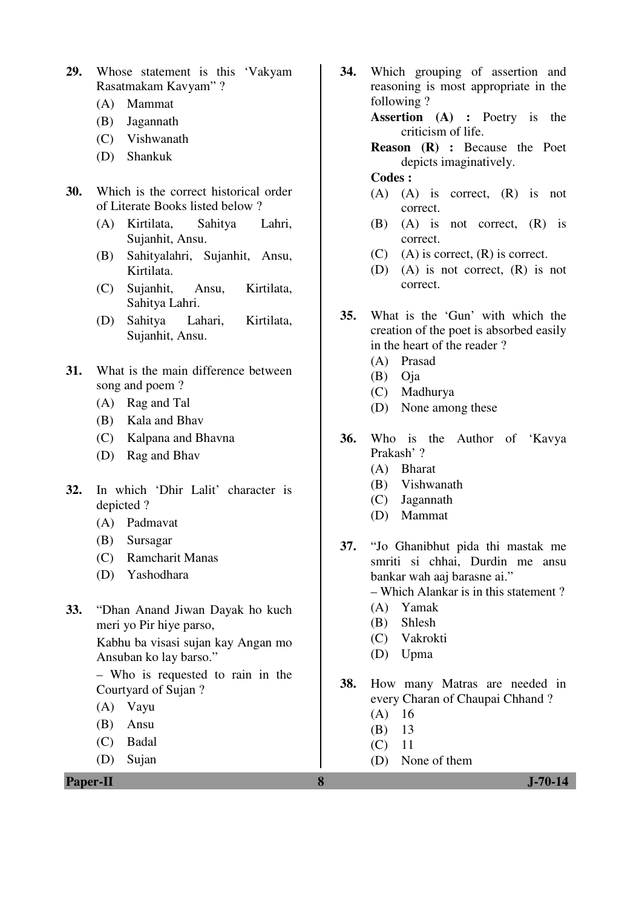- **29.** Whose statement is this 'Vakyam Rasatmakam Kavyam" ?
	- (A) Mammat
	- (B) Jagannath
	- (C) Vishwanath
	- (D) Shankuk
- **30.** Which is the correct historical order of Literate Books listed below ?
	- (A) Kirtilata, Sahitya Lahri, Sujanhit, Ansu.
	- (B) Sahityalahri, Sujanhit, Ansu, Kirtilata.
	- (C) Sujanhit, Ansu, Kirtilata, Sahitya Lahri.
	- (D) Sahitya Lahari, Kirtilata, Sujanhit, Ansu.
- **31.** What is the main difference between song and poem ?
	- (A) Rag and Tal
	- (B) Kala and Bhav
	- (C) Kalpana and Bhavna
	- (D) Rag and Bhav
- **32.** In which 'Dhir Lalit' character is depicted ?
	- (A) Padmavat
	- (B) Sursagar
	- (C) Ramcharit Manas
	- (D) Yashodhara
- **33.** "Dhan Anand Jiwan Dayak ho kuch meri yo Pir hiye parso,

 Kabhu ba visasi sujan kay Angan mo Ansuban ko lay barso."

 – Who is requested to rain in the Courtyard of Sujan ?

- (A) Vayu
- (B) Ansu
- (C) Badal
- (D) Sujan

**Paper-II 8 J-70-14**

**34.** Which grouping of assertion and reasoning is most appropriate in the following ?

**Assertion (A) :** Poetry is the criticism of life.

**Reason (R) :** Because the Poet depicts imaginatively.

#### **Codes :**

- (A) (A) is correct, (R) is not correct.
- (B) (A) is not correct, (R) is correct.
- $(C)$  (A) is correct,  $(R)$  is correct.
- (D) (A) is not correct, (R) is not correct.
- **35.** What is the 'Gun' with which the creation of the poet is absorbed easily in the heart of the reader ?
	- (A) Prasad
	- (B) Oja
	- (C) Madhurya
	- (D) None among these
- **36.** Who is the Author of 'Kavya Prakash' ?
	- (A) Bharat
	- (B) Vishwanath
	- (C) Jagannath
	- (D) Mammat
- **37.** "Jo Ghanibhut pida thi mastak me smriti si chhai, Durdin me ansu bankar wah aaj barasne ai." – Which Alankar is in this statement ?
	-
	- (A) Yamak
	- (B) Shlesh
	- (C) Vakrokti
	- (D) Upma
- **38.** How many Matras are needed in every Charan of Chaupai Chhand ?
	- (A) 16
	- (B) 13
	- (C) 11
	- (D) None of them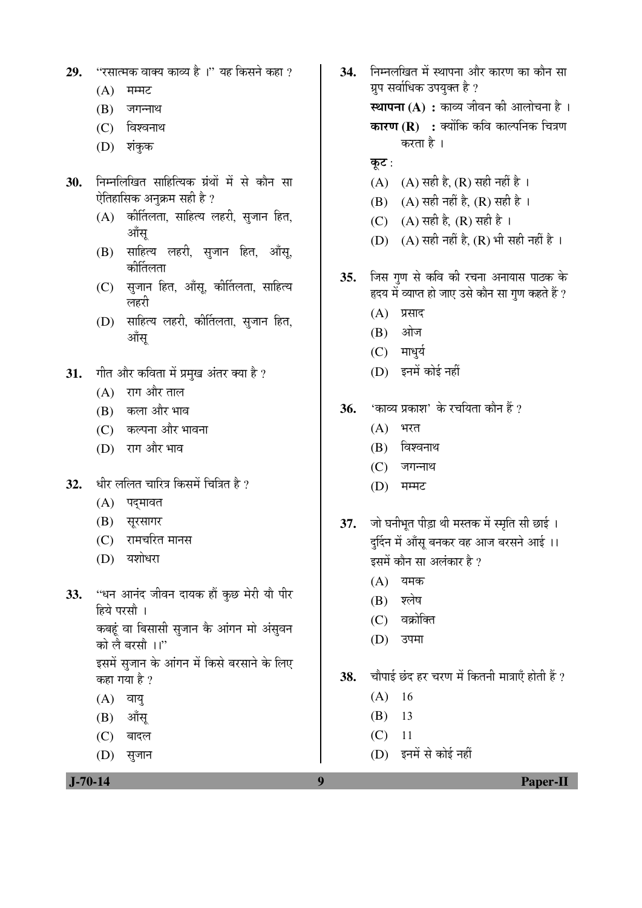- **29.** "रसात्मक वाक्य काव्य है।" यह किसने कहा ?
	- $(A)$  मम्मट
	- $(B)$  जगन्नाथ
	- $(C)$  विश्वनाथ
	- $(D)$  शंकुक
- 30. निम्नलिखित साहित्यिक ग्रंथों में से कौन सा ऐतिहासिक अनुक्रम सही है ?
	- $(A)$  कीर्तिलता, साहित्य लहरी, सुजान हित, ऑस
	- (B) साहित्य लहरी, सुजान हित, ऑसू, कोर्तिलता
	- (C) सुजान हित, आँसू, कीर्तिलता, साहित्य लहरी
	- (D) साहित्य लहरी, कीर्तिलता, सृजान हित, ऑस
- 31. *गीत और कविता में प्रमख अंतर क्या है* ?
	- $(A)$  राग और ताल
	- (B) कला और भाव
	- (C) कल्पना और भावना
	- (D) राग और भाव
- 32. धीर ललित चारित्र किसमें चित्रित है ?
	- (A) पदमावत
	- (B) सुरसागर
	- (C) रामचरित मानस
	- (D) यशोधरा
- **33.** "धन आनंद जीवन दायक हौं कुछ मेरी यौ पीर हिये परसौ । कबहं वा बिसासी सृजान के आंगन मो अंसुवन को लै बरसौ ।।" इसमें सजान के आंगन में किसे बरसाने के लिए कहा गया है ?
	- $(A)$  वायु
	- $(B)$  ऑसू
	- $(C)$  बादल
	- (D) सृजान
- 34. FEHRED HE KUTHE SIN THE THE THE THE THE ग्रप सर्वाधिक उपयुक्त है ? **स्थापना (A) :** काव्य जीवन की आलोचना है । **कारण (R) :** क्योंकि कवि काल्पनिक चित्रण करता है ।
	- कुट $:$
	- (A) (A) सही है, (R) सही नहीं है ।
	- (B) (A) सही नहीं है, (R) सही है।
	- (C) (A) सही है, (R) सही है।
	- $(D)$   $(A)$  सही नहीं है,  $(R)$  भी सही नहीं है ।
- **35.** जिस गुण से कवि की रचना अनायास पाठक के हृदय में व्याप्त हो जाए उसे कौन सा गुण कहते हैं ?
	- $(A)$  प्रसाद
	- (B) ओज
	- $(C)$  माधुर्य
	- (D) इनमें कोई नहीं
- **36.** 'काव्य प्रकाश' के रचयिता कौन हैं ?
	- $(A)$  भरत
	- $(B)$  विश्वनाथ
	- $(C)$  जगन्नाथ
	- $(D)$  मम्मट
- **37.** जो घनीभूत पीड़ा थी मस्तक में स्मृति सी छाई । दर्दिन में आँसु बनकर वह आज बरसने आई ।। इसमें कौन सा अलंकार है ?
	- $(A)$  यमक
	- $(B)$  श्लेष
	- $(C)$  वक्रोक्ति
	- (D) उपमा

38. चौपाई छंद हर चरण में कितनी मात्राएँ होती हैं ?

- (A) 16
- (B) 13
- (C) 11
- (D) इनमें से कोई नहीं

 **J-70-14 9 Paper-II**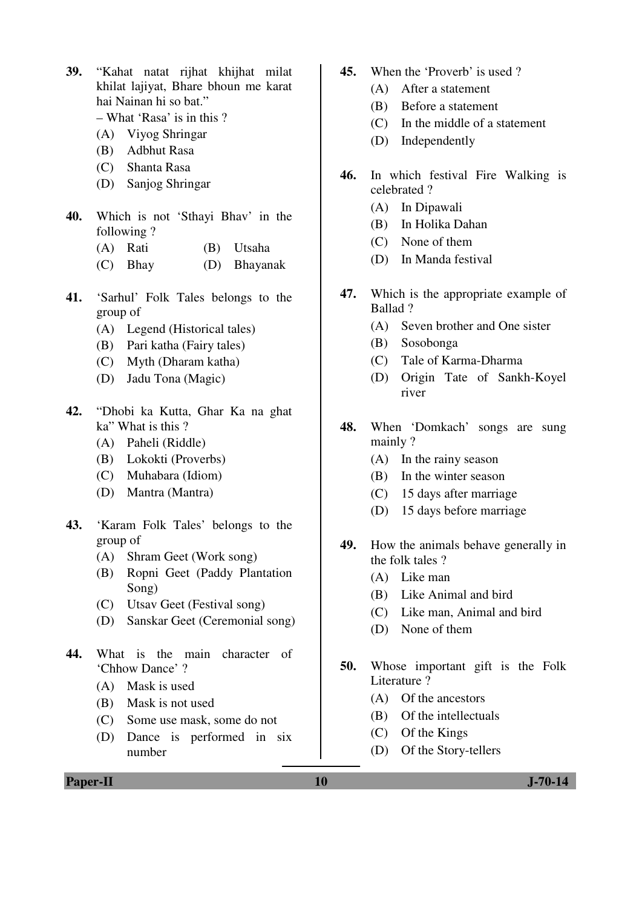- **39.** "Kahat natat rijhat khijhat milat khilat lajiyat, Bhare bhoun me karat hai Nainan hi so bat."
	- What 'Rasa' is in this ?
	- (A) Viyog Shringar
	- (B) Adbhut Rasa
	- (C) Shanta Rasa
	- (D) Sanjog Shringar
- **40.** Which is not 'Sthayi Bhav' in the following ?
	- (A) Rati (B) Utsaha
	- (C) Bhay (D) Bhayanak
- **41.** 'Sarhul' Folk Tales belongs to the group of
	- (A) Legend (Historical tales)
	- (B) Pari katha (Fairy tales)
	- (C) Myth (Dharam katha)
	- (D) Jadu Tona (Magic)
- **42.** "Dhobi ka Kutta, Ghar Ka na ghat ka" What is this ?
	- (A) Paheli (Riddle)
	- (B) Lokokti (Proverbs)
	- (C) Muhabara (Idiom)
	- (D) Mantra (Mantra)
- **43.** 'Karam Folk Tales' belongs to the group of
	- (A) Shram Geet (Work song)
	- (B) Ropni Geet (Paddy Plantation Song)
	- (C) Utsav Geet (Festival song)
	- (D) Sanskar Geet (Ceremonial song)
- **44.** What is the main character of 'Chhow Dance' ?
	- (A) Mask is used
	- (B) Mask is not used
	- (C) Some use mask, some do not
	- (D) Dance is performed in six number
- **45.** When the 'Proverb' is used ?
	- (A) After a statement
	- (B) Before a statement
	- (C) In the middle of a statement
	- (D) Independently
- **46.** In which festival Fire Walking is celebrated ?
	- (A) In Dipawali
	- (B) In Holika Dahan
	- (C) None of them
	- (D) In Manda festival
- **47.** Which is the appropriate example of Ballad ?
	- (A) Seven brother and One sister
	- (B) Sosobonga
	- (C) Tale of Karma-Dharma
	- (D) Origin Tate of Sankh-Koyel river
- **48.** When 'Domkach' songs are sung mainly ?
	- (A) In the rainy season
	- (B) In the winter season
	- (C) 15 days after marriage
	- (D) 15 days before marriage
- **49.** How the animals behave generally in the folk tales ?
	- (A) Like man
	- (B) Like Animal and bird
	- (C) Like man, Animal and bird
	- (D) None of them
- **50.** Whose important gift is the Folk Literature ?
	- (A) Of the ancestors
	- (B) Of the intellectuals
	- (C) Of the Kings
	- (D) Of the Story-tellers

**Paper-II** J-70-14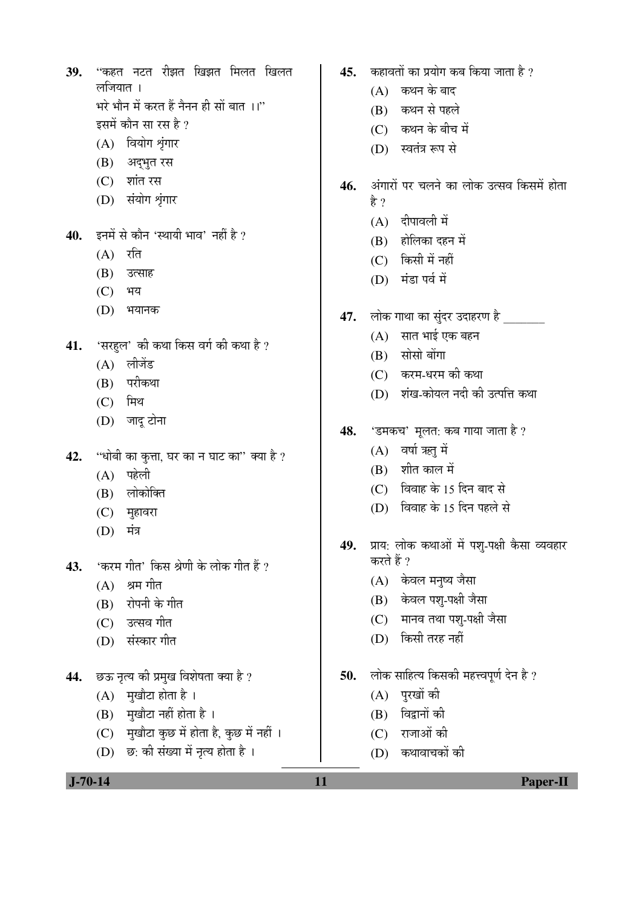- 39. "कहत नटत रीझत खिझत मिलत खिलत लजियात । भरे भौन में करत हैं नैनन ही सों बात**ा।**"
	- इसमें कौन सा रस है ? (A) वियोग श्रृंगार
	- (B) अद्भुत रस
	- (C) शांत रस
	- (D) संयोग श्रृंगार
- 40. इनमें से कौन 'स्थायी भाव' नहीं है ?
	- $(A)$  रति
	- (B) उत्साह
	- (C) भय
	- (D) भयानक
- **41.** 'सरहुल' की कथा किस वर्ग की कथा है ?
	- $(A)$  लीजेंड
	- (B) परीकथा
	- $(C)$  मिथ
	- (D) जादू टोना
- 42. "धोबी का कुत्ता, घर का न घाट का" क्या है ?
	- $(A)$  पहेली
	- (B) लोकोक्ति
	- (C) मुहावरा
	- $(D)$  मंत्र
- 43. **'करम गीत'** किस श्रेणी के लोक गीत हैं ?
	- $(A)$  श्रम गीत
	- (B) रोपनी के गीत
	- (C) उत्सव गीत
	- (D) संस्कार गीत
- 44. छऊ नृत्य की प्रमुख विशेषता क्या है ?
	- $(A)$  मुखौटा होता है।
	- $(B)$  मुखौटा नहीं होता है।
	- $(C)$  मुखौटा कुछ में होता है, कुछ में नहीं ।
	- $(D)$  छ: की संख्या में नृत्य होता है।
- **45.** Þarada Þan yalu an bara bildu an bildu
	- $(A)$  कथन के बाद
	- (B) कथन से पहले
	- $(C)$  कथन के बीच में
	- (D) स्वतंत्र रूप से
- **46.** †ÓÝÖÖ¸üÖë ¯Ö¸ü "Ö»Ö®Öê ÛúÖ »ÖÖêÛú ˆŸÃÖ¾Ö ×ÛúÃÖ´Öë ÆüÖêŸÖÖ हे ?
	- $(A)$  दीपावली में
	- (B) होलिका दहन में
	- $(C)$  किसी में नहीं
	- (D) मंडा पर्व में
- **47.** लोक गाथा का सुंदर उदाहरण है
	- $(A)$  सात भाई एक बहन
	- $(B)$  सोसो बोंगा
	- $(C)$  करम-धरम की कथा
	- (D) शंख-कोयल नदी की उत्पत्ति कथा
- **48.** 'डमकच' मूलत: कब गाया जाता है ?
	- $(A)$  वर्षा ऋतु में
	- $(B)$  शीत काल में
	- $(C)$  विवाह के 15 दिन बाद से
	- (D) विवाह के 15 दिन पहले से
- 49. प्राय: लोक कथाओं में पश्-पक्षी कैसा व्यवहार करते हैं ?
	- (A) केवल मनुष्य जैसा
	- (B) केवल पशु-पक्षी जैसा
	- (C) मानव तथा पश्-पक्षी जैसा
	- (D) किसी तरह नहीं
- 50. लोक साहित्य किसकी महत्त्वपूर्ण देन है ?
	- $(A)$  पुरखों की
	- (B) विद्वानों की
	- (C) राजाओं की
	- (D) कथावाचकों की

 **J-70-14 11 Paper-II**